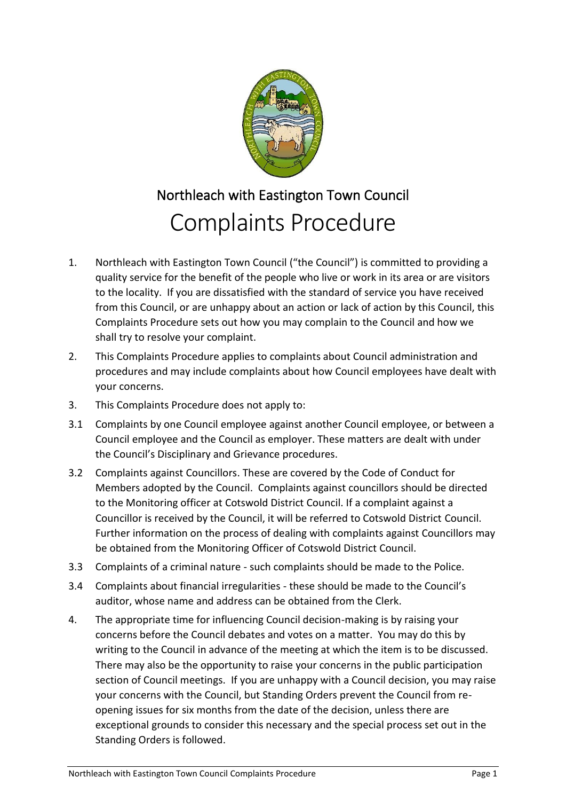

## Northleach with Eastington Town Council Complaints Procedure

- 1. Northleach with Eastington Town Council ("the Council") is committed to providing a quality service for the benefit of the people who live or work in its area or are visitors to the locality. If you are dissatisfied with the standard of service you have received from this Council, or are unhappy about an action or lack of action by this Council, this Complaints Procedure sets out how you may complain to the Council and how we shall try to resolve your complaint.
- 2. This Complaints Procedure applies to complaints about Council administration and procedures and may include complaints about how Council employees have dealt with your concerns.
- 3. This Complaints Procedure does not apply to:
- 3.1 Complaints by one Council employee against another Council employee, or between a Council employee and the Council as employer. These matters are dealt with under the Council's Disciplinary and Grievance procedures.
- 3.2 Complaints against Councillors. These are covered by the Code of Conduct for Members adopted by the Council. Complaints against councillors should be directed to the Monitoring officer at Cotswold District Council. If a complaint against a Councillor is received by the Council, it will be referred to Cotswold District Council. Further information on the process of dealing with complaints against Councillors may be obtained from the Monitoring Officer of Cotswold District Council.
- 3.3 Complaints of a criminal nature such complaints should be made to the Police.
- 3.4 Complaints about financial irregularities these should be made to the Council's auditor, whose name and address can be obtained from the Clerk.
- 4. The appropriate time for influencing Council decision-making is by raising your concerns before the Council debates and votes on a matter. You may do this by writing to the Council in advance of the meeting at which the item is to be discussed. There may also be the opportunity to raise your concerns in the public participation section of Council meetings. If you are unhappy with a Council decision, you may raise your concerns with the Council, but Standing Orders prevent the Council from reopening issues for six months from the date of the decision, unless there are exceptional grounds to consider this necessary and the special process set out in the Standing Orders is followed.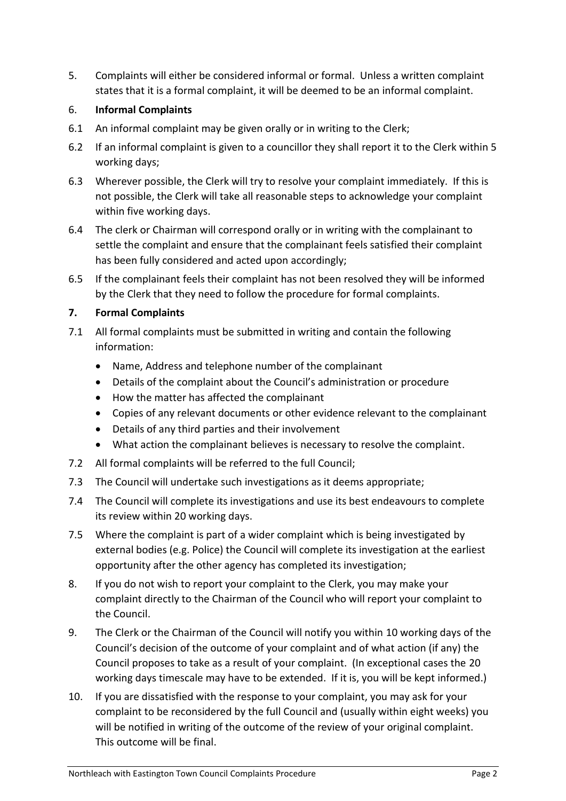5. Complaints will either be considered informal or formal. Unless a written complaint states that it is a formal complaint, it will be deemed to be an informal complaint.

## 6. **Informal Complaints**

- 6.1 An informal complaint may be given orally or in writing to the Clerk;
- 6.2 If an informal complaint is given to a councillor they shall report it to the Clerk within 5 working days;
- 6.3 Wherever possible, the Clerk will try to resolve your complaint immediately. If this is not possible, the Clerk will take all reasonable steps to acknowledge your complaint within five working days.
- 6.4 The clerk or Chairman will correspond orally or in writing with the complainant to settle the complaint and ensure that the complainant feels satisfied their complaint has been fully considered and acted upon accordingly;
- 6.5 If the complainant feels their complaint has not been resolved they will be informed by the Clerk that they need to follow the procedure for formal complaints.

## **7. Formal Complaints**

- 7.1 All formal complaints must be submitted in writing and contain the following information:
	- Name, Address and telephone number of the complainant
	- Details of the complaint about the Council's administration or procedure
	- How the matter has affected the complainant
	- Copies of any relevant documents or other evidence relevant to the complainant
	- Details of any third parties and their involvement
	- What action the complainant believes is necessary to resolve the complaint.
- 7.2 All formal complaints will be referred to the full Council;
- 7.3 The Council will undertake such investigations as it deems appropriate;
- 7.4 The Council will complete its investigations and use its best endeavours to complete its review within 20 working days.
- 7.5 Where the complaint is part of a wider complaint which is being investigated by external bodies (e.g. Police) the Council will complete its investigation at the earliest opportunity after the other agency has completed its investigation;
- 8. If you do not wish to report your complaint to the Clerk, you may make your complaint directly to the Chairman of the Council who will report your complaint to the Council.
- 9. The Clerk or the Chairman of the Council will notify you within 10 working days of the Council's decision of the outcome of your complaint and of what action (if any) the Council proposes to take as a result of your complaint. (In exceptional cases the 20 working days timescale may have to be extended. If it is, you will be kept informed.)
- 10. If you are dissatisfied with the response to your complaint, you may ask for your complaint to be reconsidered by the full Council and (usually within eight weeks) you will be notified in writing of the outcome of the review of your original complaint. This outcome will be final.